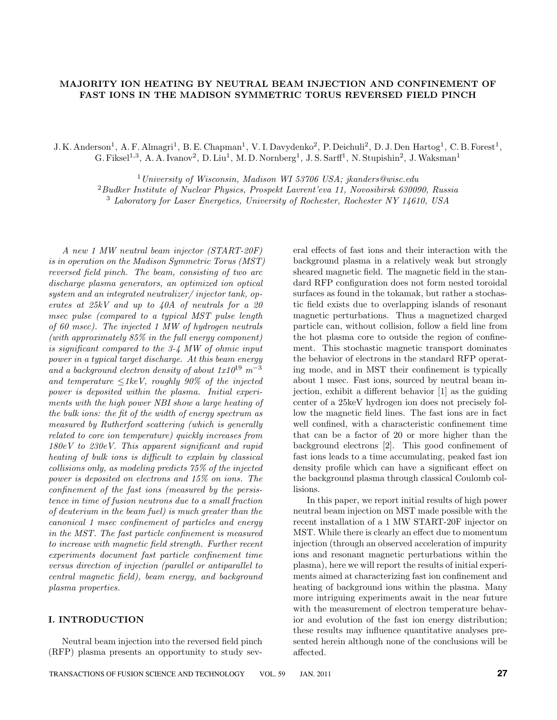# **MAJORITY ION HEATING BY NEUTRAL BEAM INJECTION AND CONFINEMENT OF FAST IONS IN THE MADISON SYMMETRIC TORUS REVERSED FIELD PINCH**

J. K. Anderson<sup>1</sup>, A. F. Almagri<sup>1</sup>, B. E. Chapman<sup>1</sup>, V. I. Davydenko<sup>2</sup>, P. Deichuli<sup>2</sup>, D. J. Den Hartog<sup>1</sup>, C. B. Forest<sup>1</sup>, G. Fiksel<sup>1,3</sup>, A. A. Ivanov<sup>2</sup>, D. Liu<sup>1</sup>, M. D. Nornberg<sup>1</sup>, J. S. Sarff<sup>1</sup>, N. Stupishin<sup>2</sup>, J. Waksman<sup>1</sup>

 $1$ University of Wisconsin, Madison WI 53706 USA; jkanders@wisc.edu <sup>2</sup>Budker Institute of Nuclear Physics, Prospekt Lavrent'eva 11, Novosibirsk 630090, Russia <sup>3</sup> Laboratory for Laser Energetics, University of Rochester, Rochester NY 14610, USA

A new 1 MW neutral beam injector (START-20F) is in operation on the Madison Symmetric Torus (MST) reversed field pinch. The beam, consisting of two arc discharge plasma generators, an optimized ion optical system and an integrated neutralizer/ injector tank, operates at 25kV and up to 40A of neutrals for a 20 msec pulse (compared to a typical MST pulse length of 60 msec). The injected 1 MW of hydrogen neutrals (with approximately 85% in the full energy component) is significant compared to the 3-4 MW of ohmic input power in a typical target discharge. At this beam energy and a background electron density of about  $1x10^{19}$  m<sup>-3</sup> and temperature  $\leq 1keV$ , roughly 90% of the injected power is deposited within the plasma. Initial experiments with the high power NBI show a large heating of the bulk ions: the fit of the width of energy spectrum as measured by Rutherford scattering (which is generally related to core ion temperature) quickly increases from 180eV to 230eV. This apparent significant and rapid heating of bulk ions is difficult to explain by classical collisions only, as modeling predicts 75% of the injected power is deposited on electrons and 15% on ions. The confinement of the fast ions (measured by the persistence in time of fusion neutrons due to a small fraction of deuterium in the beam fuel) is much greater than the canonical 1 msec confinement of particles and energy in the MST. The fast particle confinement is measured to increase with magnetic field strength. Further recent experiments document fast particle confinement time versus direction of injection (parallel or antiparallel to central magnetic field), beam energy, and background plasma properties.

## **I. INTRODUCTION**

Neutral beam injection into the reversed field pinch (RFP) plasma presents an opportunity to study sev-

eral effects of fast ions and their interaction with the background plasma in a relatively weak but strongly sheared magnetic field. The magnetic field in the standard RFP configuration does not form nested toroidal surfaces as found in the tokamak, but rather a stochastic field exists due to overlapping islands of resonant magnetic perturbations. Thus a magnetized charged particle can, without collision, follow a field line from the hot plasma core to outside the region of confinement. This stochastic magnetic transport dominates the behavior of electrons in the standard RFP operating mode, and in MST their confinement is typically about 1 msec. Fast ions, sourced by neutral beam injection, exhibit a different behavior [1] as the guiding center of a 25keV hydrogen ion does not precisely follow the magnetic field lines. The fast ions are in fact well confined, with a characteristic confinement time that can be a factor of 20 or more higher than the background electrons [2]. This good confinement of fast ions leads to a time accumulating, peaked fast ion density profile which can have a significant effect on the background plasma through classical Coulomb collisions.

In this paper, we report initial results of high power neutral beam injection on MST made possible with the recent installation of a 1 MW START-20F injector on MST. While there is clearly an effect due to momentum injection (through an observed acceleration of impurity ions and resonant magnetic perturbations within the plasma), here we will report the results of initial experiments aimed at characterizing fast ion confinement and heating of background ions within the plasma. Many more intriguing experiments await in the near future with the measurement of electron temperature behavior and evolution of the fast ion energy distribution; these results may influence quantitative analyses presented herein although none of the conclusions will be affected.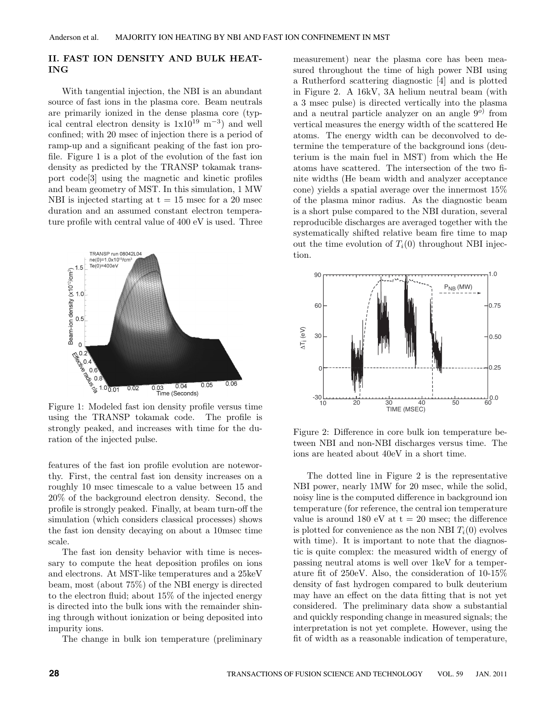## **II. FAST ION DENSITY AND BULK HEAT-ING**

With tangential injection, the NBI is an abundant source of fast ions in the plasma core. Beam neutrals are primarily ionized in the dense plasma core (typical central electron density is  $1x10^{19}$  m<sup>-3</sup>) and well confined; with 20 msec of injection there is a period of ramp-up and a significant peaking of the fast ion profile. Figure 1 is a plot of the evolution of the fast ion density as predicted by the TRANSP tokamak transport code[3] using the magnetic and kinetic profiles and beam geometry of MST. In this simulation, 1 MW NBI is injected starting at  $t = 15$  msec for a 20 msec duration and an assumed constant electron temperature profile with central value of 400 eV is used. Three



using the TRANSP tokamak code. The profile is strongly peaked, and increases with time for the duration of the injected pulse.

features of the fast ion profile evolution are noteworthy. First, the central fast ion density increases on a roughly 10 msec timescale to a value between 15 and 20% of the background electron density. Second, the profile is strongly peaked. Finally, at beam turn-off the simulation (which considers classical processes) shows the fast ion density decaying on about a 10msec time scale.

The fast ion density behavior with time is necessary to compute the heat deposition profiles on ions and electrons. At MST-like temperatures and a 25keV beam, most (about 75%) of the NBI energy is directed to the electron fluid; about 15% of the injected energy is directed into the bulk ions with the remainder shining through without ionization or being deposited into impurity ions.

The change in bulk ion temperature (preliminary

measurement) near the plasma core has been measured throughout the time of high power NBI using a Rutherford scattering diagnostic [4] and is plotted in Figure 2. A 16kV, 3A helium neutral beam (with a 3 msec pulse) is directed vertically into the plasma and a neutral particle analyzer on an angle  $9^{\circ}$  from vertical measures the energy width of the scattered He atoms. The energy width can be deconvolved to determine the temperature of the background ions (deuterium is the main fuel in MST) from which the He atoms have scattered. The intersection of the two finite widths (He beam width and analyzer acceptance cone) yields a spatial average over the innermost 15% of the plasma minor radius. As the diagnostic beam is a short pulse compared to the NBI duration, several reproducible discharges are averaged together with the systematically shifted relative beam fire time to map out the time evolution of  $T_i(0)$  throughout NBI injection.



Figure 2: Difference in core bulk ion temperature between NBI and non-NBI discharges versus time. The ions are heated about 40eV in a short time.

The dotted line in Figure 2 is the representative NBI power, nearly 1MW for 20 msec, while the solid, noisy line is the computed difference in background ion temperature (for reference, the central ion temperature value is around 180 eV at  $t = 20$  msec; the difference is plotted for convenience as the non NBI  $T_i(0)$  evolves with time). It is important to note that the diagnostic is quite complex: the measured width of energy of passing neutral atoms is well over 1keV for a temperature fit of 250eV. Also, the consideration of 10-15% density of fast hydrogen compared to bulk deuterium may have an effect on the data fitting that is not yet considered. The preliminary data show a substantial and quickly responding change in measured signals; the interpretation is not yet complete. However, using the fit of width as a reasonable indication of temperature,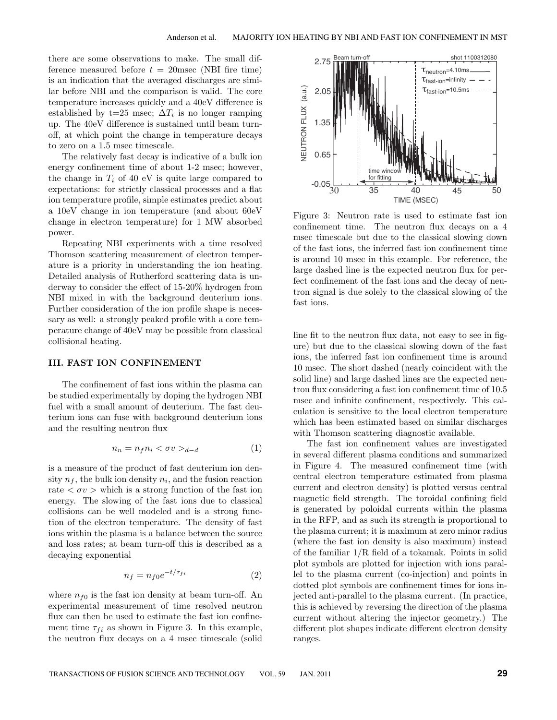there are some observations to make. The small difference measured before  $t = 20$ msec (NBI fire time) is an indication that the averaged discharges are similar before NBI and the comparison is valid. The core temperature increases quickly and a 40eV difference is established by t=25 msec;  $\Delta T_i$  is no longer ramping up. The 40eV difference is sustained until beam turnoff, at which point the change in temperature decays to zero on a 1.5 msec timescale.

The relatively fast decay is indicative of a bulk ion energy confinement time of about 1-2 msec; however, the change in  $T_i$  of 40 eV is quite large compared to expectations: for strictly classical processes and a flat ion temperature profile, simple estimates predict about a 10eV change in ion temperature (and about 60eV change in electron temperature) for 1 MW absorbed power.

Repeating NBI experiments with a time resolved Thomson scattering measurement of electron temperature is a priority in understanding the ion heating. Detailed analysis of Rutherford scattering data is underway to consider the effect of 15-20% hydrogen from NBI mixed in with the background deuterium ions. Further consideration of the ion profile shape is necessary as well: a strongly peaked profile with a core temperature change of 40eV may be possible from classical collisional heating.

#### **III. FAST ION CONFINEMENT**

The confinement of fast ions within the plasma can be studied experimentally by doping the hydrogen NBI fuel with a small amount of deuterium. The fast deuterium ions can fuse with background deuterium ions and the resulting neutron flux

$$
n_n = n_f n_i < \sigma v >_{d-d} \tag{1}
$$

is a measure of the product of fast deuterium ion density  $n_f$ , the bulk ion density  $n_i$ , and the fusion reaction rate  $\langle \sigma v \rangle$  which is a strong function of the fast ion energy. The slowing of the fast ions due to classical collisions can be well modeled and is a strong function of the electron temperature. The density of fast ions within the plasma is a balance between the source and loss rates; at beam turn-off this is described as a decaying exponential

$$
n_f = n_{f0} e^{-t/\tau_{fi}} \tag{2}
$$

where  $n_{f0}$  is the fast ion density at beam turn-off. An experimental measurement of time resolved neutron flux can then be used to estimate the fast ion confinement time  $\tau_{fi}$  as shown in Figure 3. In this example, the neutron flux decays on a 4 msec timescale (solid



Figure 3: Neutron rate is used to estimate fast ion confinement time. The neutron flux decays on a 4 msec timescale but due to the classical slowing down of the fast ions, the inferred fast ion confinement time is around 10 msec in this example. For reference, the large dashed line is the expected neutron flux for perfect confinement of the fast ions and the decay of neutron signal is due solely to the classical slowing of the fast ions.

line fit to the neutron flux data, not easy to see in figure) but due to the classical slowing down of the fast ions, the inferred fast ion confinement time is around 10 msec. The short dashed (nearly coincident with the solid line) and large dashed lines are the expected neutron flux considering a fast ion confinement time of 10.5 msec and infinite confinement, respectively. This calculation is sensitive to the local electron temperature which has been estimated based on similar discharges with Thomson scattering diagnostic available.

The fast ion confinement values are investigated in several different plasma conditions and summarized in Figure 4. The measured confinement time (with central electron temperature estimated from plasma current and electron density) is plotted versus central magnetic field strength. The toroidal confining field is generated by poloidal currents within the plasma in the RFP, and as such its strength is proportional to the plasma current; it is maximum at zero minor radius (where the fast ion density is also maximum) instead of the familiar 1/R field of a tokamak. Points in solid plot symbols are plotted for injection with ions parallel to the plasma current (co-injection) and points in dotted plot symbols are confinement times for ions injected anti-parallel to the plasma current. (In practice, this is achieved by reversing the direction of the plasma current without altering the injector geometry.) The different plot shapes indicate different electron density ranges.